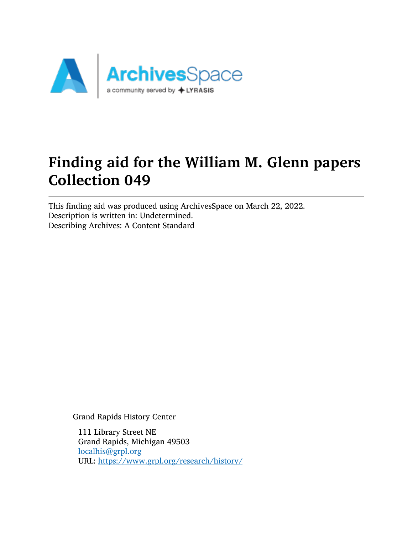

# Finding aid for the William M. Glenn papers Collection 049

This finding aid was produced using ArchivesSpace on March 22, 2022. Description is written in: Undetermined. Describing Archives: A Content Standard

Grand Rapids History Center

111 Library Street NE Grand Rapids, Michigan 49503 [localhis@grpl.org](mailto:localhis@grpl.org) URL: <https://www.grpl.org/research/history/>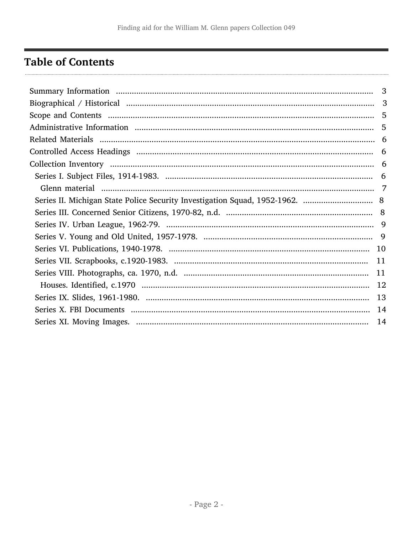## <span id="page-1-0"></span>**Table of Contents**

| 3<br>3<br>5<br>6 |  |
|------------------|--|
|                  |  |
|                  |  |
|                  |  |
|                  |  |
|                  |  |
|                  |  |
|                  |  |
|                  |  |
|                  |  |
|                  |  |
|                  |  |
|                  |  |
|                  |  |
|                  |  |
|                  |  |
|                  |  |
|                  |  |
|                  |  |
|                  |  |
|                  |  |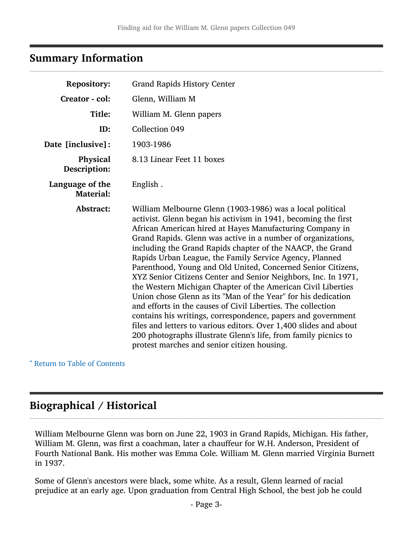## <span id="page-2-0"></span>Summary Information

| <b>Repository:</b>                  | <b>Grand Rapids History Center</b>                                                                                                                                                                                                                                                                                                                                                                                                                                                                                                                                                                                                                                                                                                                                                                                                                                                                                                                                         |
|-------------------------------------|----------------------------------------------------------------------------------------------------------------------------------------------------------------------------------------------------------------------------------------------------------------------------------------------------------------------------------------------------------------------------------------------------------------------------------------------------------------------------------------------------------------------------------------------------------------------------------------------------------------------------------------------------------------------------------------------------------------------------------------------------------------------------------------------------------------------------------------------------------------------------------------------------------------------------------------------------------------------------|
| Creator - col:                      | Glenn, William M                                                                                                                                                                                                                                                                                                                                                                                                                                                                                                                                                                                                                                                                                                                                                                                                                                                                                                                                                           |
| Title:                              | William M. Glenn papers                                                                                                                                                                                                                                                                                                                                                                                                                                                                                                                                                                                                                                                                                                                                                                                                                                                                                                                                                    |
| ID:                                 | Collection 049                                                                                                                                                                                                                                                                                                                                                                                                                                                                                                                                                                                                                                                                                                                                                                                                                                                                                                                                                             |
| Date [inclusive]:                   | 1903-1986                                                                                                                                                                                                                                                                                                                                                                                                                                                                                                                                                                                                                                                                                                                                                                                                                                                                                                                                                                  |
| Physical<br>Description:            | 8.13 Linear Feet 11 boxes                                                                                                                                                                                                                                                                                                                                                                                                                                                                                                                                                                                                                                                                                                                                                                                                                                                                                                                                                  |
| Language of the<br><b>Material:</b> | English.                                                                                                                                                                                                                                                                                                                                                                                                                                                                                                                                                                                                                                                                                                                                                                                                                                                                                                                                                                   |
| Abstract:                           | William Melbourne Glenn (1903-1986) was a local political<br>activist. Glenn began his activism in 1941, becoming the first<br>African American hired at Hayes Manufacturing Company in<br>Grand Rapids. Glenn was active in a number of organizations,<br>including the Grand Rapids chapter of the NAACP, the Grand<br>Rapids Urban League, the Family Service Agency, Planned<br>Parenthood, Young and Old United, Concerned Senior Citizens,<br>XYZ Senior Citizens Center and Senior Neighbors, Inc. In 1971,<br>the Western Michigan Chapter of the American Civil Liberties<br>Union chose Glenn as its "Man of the Year" for his dedication<br>and efforts in the causes of Civil Liberties. The collection<br>contains his writings, correspondence, papers and government<br>files and letters to various editors. Over 1,400 slides and about<br>200 photographs illustrate Glenn's life, from family picnics to<br>protest marches and senior citizen housing. |

^ [Return to Table of Contents](#page-1-0)

## <span id="page-2-1"></span>Biographical / Historical

William Melbourne Glenn was born on June 22, 1903 in Grand Rapids, Michigan. His father, William M. Glenn, was first a coachman, later a chauffeur for W.H. Anderson, President of Fourth National Bank. His mother was Emma Cole. William M. Glenn married Virginia Burnett in 1937.

Some of Glenn's ancestors were black, some white. As a result, Glenn learned of racial prejudice at an early age. Upon graduation from Central High School, the best job he could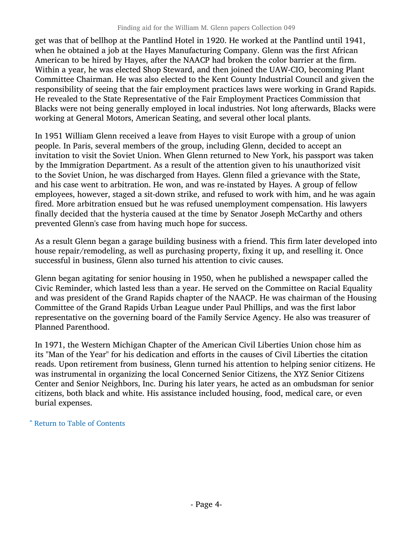get was that of bellhop at the Pantlind Hotel in 1920. He worked at the Pantlind until 1941, when he obtained a job at the Hayes Manufacturing Company. Glenn was the first African American to be hired by Hayes, after the NAACP had broken the color barrier at the firm. Within a year, he was elected Shop Steward, and then joined the UAW-CIO, becoming Plant Committee Chairman. He was also elected to the Kent County Industrial Council and given the responsibility of seeing that the fair employment practices laws were working in Grand Rapids. He revealed to the State Representative of the Fair Employment Practices Commission that Blacks were not being generally employed in local industries. Not long afterwards, Blacks were working at General Motors, American Seating, and several other local plants.

In 1951 William Glenn received a leave from Hayes to visit Europe with a group of union people. In Paris, several members of the group, including Glenn, decided to accept an invitation to visit the Soviet Union. When Glenn returned to New York, his passport was taken by the Immigration Department. As a result of the attention given to his unauthorized visit to the Soviet Union, he was discharged from Hayes. Glenn filed a grievance with the State, and his case went to arbitration. He won, and was re-instated by Hayes. A group of fellow employees, however, staged a sit-down strike, and refused to work with him, and he was again fired. More arbitration ensued but he was refused unemployment compensation. His lawyers finally decided that the hysteria caused at the time by Senator Joseph McCarthy and others prevented Glenn's case from having much hope for success.

As a result Glenn began a garage building business with a friend. This firm later developed into house repair/remodeling, as well as purchasing property, fixing it up, and reselling it. Once successful in business, Glenn also turned his attention to civic causes.

Glenn began agitating for senior housing in 1950, when he published a newspaper called the Civic Reminder, which lasted less than a year. He served on the Committee on Racial Equality and was president of the Grand Rapids chapter of the NAACP. He was chairman of the Housing Committee of the Grand Rapids Urban League under Paul Phillips, and was the first labor representative on the governing board of the Family Service Agency. He also was treasurer of Planned Parenthood.

In 1971, the Western Michigan Chapter of the American Civil Liberties Union chose him as its "Man of the Year" for his dedication and efforts in the causes of Civil Liberties the citation reads. Upon retirement from business, Glenn turned his attention to helping senior citizens. He was instrumental in organizing the local Concerned Senior Citizens, the XYZ Senior Citizens Center and Senior Neighbors, Inc. During his later years, he acted as an ombudsman for senior citizens, both black and white. His assistance included housing, food, medical care, or even burial expenses.

^ [Return to Table of Contents](#page-1-0)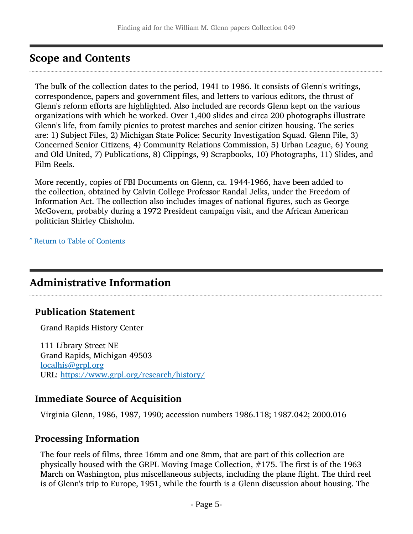## <span id="page-4-0"></span>Scope and Contents

The bulk of the collection dates to the period, 1941 to 1986. It consists of Glenn's writings, correspondence, papers and government files, and letters to various editors, the thrust of Glenn's reform efforts are highlighted. Also included are records Glenn kept on the various organizations with which he worked. Over 1,400 slides and circa 200 photographs illustrate Glenn's life, from family picnics to protest marches and senior citizen housing. The series are: 1) Subject Files, 2) Michigan State Police: Security Investigation Squad. Glenn File, 3) Concerned Senior Citizens, 4) Community Relations Commission, 5) Urban League, 6) Young and Old United, 7) Publications, 8) Clippings, 9) Scrapbooks, 10) Photographs, 11) Slides, and Film Reels.

More recently, copies of FBI Documents on Glenn, ca. 1944-1966, have been added to the collection, obtained by Calvin College Professor Randal Jelks, under the Freedom of Information Act. The collection also includes images of national figures, such as George McGovern, probably during a 1972 President campaign visit, and the African American politician Shirley Chisholm.

^ [Return to Table of Contents](#page-1-0)

## <span id="page-4-1"></span>Administrative Information

## Publication Statement

Grand Rapids History Center

111 Library Street NE Grand Rapids, Michigan 49503 [localhis@grpl.org](mailto:localhis@grpl.org) URL: <https://www.grpl.org/research/history/>

## Immediate Source of Acquisition

Virginia Glenn, 1986, 1987, 1990; accession numbers 1986.118; 1987.042; 2000.016

### Processing Information

The four reels of films, three 16mm and one 8mm, that are part of this collection are physically housed with the GRPL Moving Image Collection, #175. The first is of the 1963 March on Washington, plus miscellaneous subjects, including the plane flight. The third reel is of Glenn's trip to Europe, 1951, while the fourth is a Glenn discussion about housing. The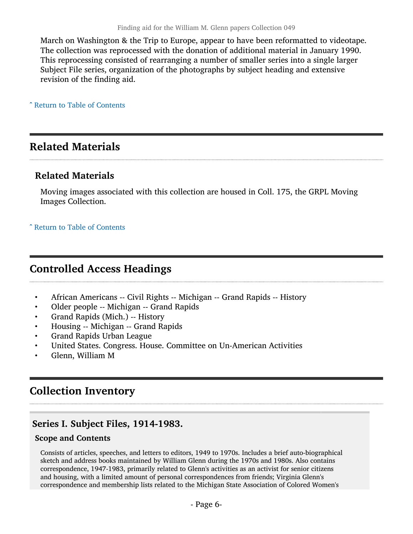March on Washington & the Trip to Europe, appear to have been reformatted to videotape. The collection was reprocessed with the donation of additional material in January 1990. This reprocessing consisted of rearranging a number of smaller series into a single larger Subject File series, organization of the photographs by subject heading and extensive revision of the finding aid.

^ [Return to Table of Contents](#page-1-0)

## <span id="page-5-0"></span>Related Materials

## Related Materials

Moving images associated with this collection are housed in Coll. 175, the GRPL Moving Images Collection.

^ [Return to Table of Contents](#page-1-0)

## <span id="page-5-1"></span>Controlled Access Headings

- African Americans -- Civil Rights -- Michigan -- Grand Rapids -- History
- Older people -- Michigan -- Grand Rapids
- Grand Rapids (Mich.) -- History
- Housing -- Michigan -- Grand Rapids
- Grand Rapids Urban League
- United States. Congress. House. Committee on Un-American Activities
- Glenn, William M

## <span id="page-5-2"></span>Collection Inventory

## <span id="page-5-3"></span>Series I. Subject Files, 1914-1983.

### Scope and Contents

Consists of articles, speeches, and letters to editors, 1949 to 1970s. Includes a brief auto-biographical sketch and address books maintained by William Glenn during the 1970s and 1980s. Also contains correspondence, 1947-1983, primarily related to Glenn's activities as an activist for senior citizens and housing, with a limited amount of personal correspondences from friends; Virginia Glenn's correspondence and membership lists related to the Michigan State Association of Colored Women's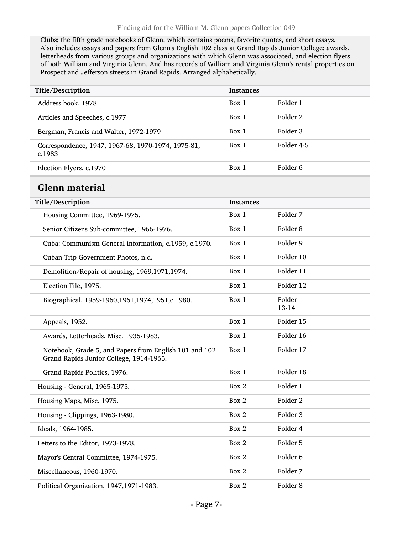Clubs; the fifth grade notebooks of Glenn, which contains poems, favorite quotes, and short essays. Also includes essays and papers from Glenn's English 102 class at Grand Rapids Junior College; awards, letterheads from various groups and organizations with which Glenn was associated, and election flyers of both William and Virginia Glenn. And has records of William and Virginia Glenn's rental properties on Prospect and Jefferson streets in Grand Rapids. Arranged alphabetically.

<span id="page-6-0"></span>

| Title/Description                                                                                 | <b>Instances</b> |                     |
|---------------------------------------------------------------------------------------------------|------------------|---------------------|
| Address book, 1978                                                                                | Box 1            | Folder 1            |
| Articles and Speeches, c.1977                                                                     | Box 1            | Folder <sub>2</sub> |
| Bergman, Francis and Walter, 1972-1979                                                            | Box 1            | Folder 3            |
| Correspondence, 1947, 1967-68, 1970-1974, 1975-81,<br>c.1983                                      | Box 1            | Folder 4-5          |
| Election Flyers, c.1970                                                                           | Box 1            | Folder <sub>6</sub> |
| Glenn material                                                                                    |                  |                     |
| Title/Description                                                                                 | <b>Instances</b> |                     |
| Housing Committee, 1969-1975.                                                                     | Box 1            | Folder 7            |
| Senior Citizens Sub-committee, 1966-1976.                                                         | Box 1            | Folder <sub>8</sub> |
| Cuba: Communism General information, c.1959, c.1970.                                              | Box 1            | Folder 9            |
| Cuban Trip Government Photos, n.d.                                                                | Box 1            | Folder 10           |
| Demolition/Repair of housing, 1969,1971,1974.                                                     | Box 1            | Folder 11           |
| Election File, 1975.                                                                              | Box 1            | Folder 12           |
| Biographical, 1959-1960, 1961, 1974, 1951, c. 1980.                                               | Box 1            | Folder<br>13-14     |
| Appeals, 1952.                                                                                    | Box 1            | Folder 15           |
| Awards, Letterheads, Misc. 1935-1983.                                                             | Box 1            | Folder 16           |
| Notebook, Grade 5, and Papers from English 101 and 102<br>Grand Rapids Junior College, 1914-1965. | Box 1            | Folder 17           |
| Grand Rapids Politics, 1976.                                                                      | Box 1            | Folder 18           |
| Housing - General, 1965-1975.                                                                     | Box 2            | Folder 1            |
| Housing Maps, Misc. 1975.                                                                         | Box 2            | Folder <sub>2</sub> |
| Housing - Clippings, 1963-1980.                                                                   | Box 2            | Folder 3            |
| Ideals, 1964-1985.                                                                                | Box 2            | Folder 4            |
| Letters to the Editor, 1973-1978.                                                                 | Box 2            | Folder 5            |
| Mayor's Central Committee, 1974-1975.                                                             | Box 2            | Folder 6            |
| Miscellaneous, 1960-1970.                                                                         | Box 2            | Folder 7            |
| Political Organization, 1947, 1971-1983.                                                          | Box 2            | Folder <sub>8</sub> |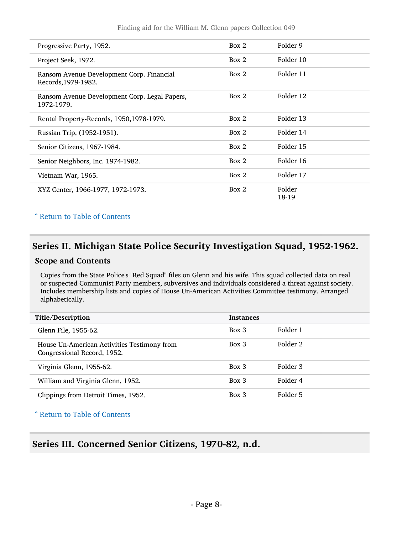| Progressive Party, 1952.                                         | Box 2 | Folder 9        |
|------------------------------------------------------------------|-------|-----------------|
| Project Seek, 1972.                                              | Box 2 | Folder 10       |
| Ransom Avenue Development Corp. Financial<br>Records, 1979-1982. | Box 2 | Folder 11       |
| Ransom Avenue Development Corp. Legal Papers,<br>1972-1979.      | Box 2 | Folder 12       |
| Rental Property-Records, 1950, 1978-1979.                        | Box 2 | Folder 13       |
| Russian Trip, (1952-1951).                                       | Box 2 | Folder 14       |
| Senior Citizens, 1967-1984.                                      | Box 2 | Folder 15       |
| Senior Neighbors, Inc. 1974-1982.                                | Box 2 | Folder 16       |
| Vietnam War, 1965.                                               | Box 2 | Folder 17       |
| XYZ Center, 1966-1977, 1972-1973.                                | Box 2 | Folder<br>18-19 |

### ^ [Return to Table of Contents](#page-1-0)

## <span id="page-7-0"></span>Series II. Michigan State Police Security Investigation Squad, 1952-1962.

#### Scope and Contents

Copies from the State Police's "Red Squad" files on Glenn and his wife. This squad collected data on real or suspected Communist Party members, subversives and individuals considered a threat against society. Includes membership lists and copies of House Un-American Activities Committee testimony. Arranged alphabetically.

| Title/Description                                                          | <b>Instances</b> |          |
|----------------------------------------------------------------------------|------------------|----------|
| Glenn File, 1955-62.                                                       | $Box\ 3$         | Folder 1 |
| House Un-American Activities Testimony from<br>Congressional Record, 1952. | $Box\ 3$         | Folder 2 |
| Virginia Glenn, 1955-62.                                                   | $Box\ 3$         | Folder 3 |
| William and Virginia Glenn, 1952.                                          | $Box\ 3$         | Folder 4 |
| Clippings from Detroit Times, 1952.                                        | $Box\ 3$         | Folder 5 |

^ [Return to Table of Contents](#page-1-0)

## <span id="page-7-1"></span>Series III. Concerned Senior Citizens, 1970-82, n.d.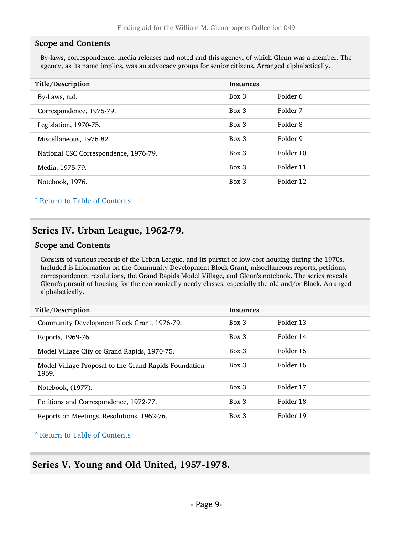#### Scope and Contents

By-laws, correspondence, media releases and noted and this agency, of which Glenn was a member. The agency, as its name implies, was an advocacy groups for senior citizens. Arranged alphabetically.

| Title/Description                     | <b>Instances</b> |           |
|---------------------------------------|------------------|-----------|
| By-Laws, n.d.                         | Box 3            | Folder 6  |
| Correspondence, 1975-79.              | $Box\ 3$         | Folder 7  |
| Legislation, 1970-75.                 | Box 3            | Folder 8  |
| Miscellaneous, 1976-82.               | Box 3            | Folder 9  |
| National CSC Correspondence, 1976-79. | Box 3            | Folder 10 |
| Media, 1975-79.                       | Box 3            | Folder 11 |
| Notebook, 1976.                       | Box 3            | Folder 12 |

^ [Return to Table of Contents](#page-1-0)

## <span id="page-8-0"></span>Series IV. Urban League, 1962-79.

#### Scope and Contents

Consists of various records of the Urban League, and its pursuit of low-cost housing during the 1970s. Included is information on the Community Development Block Grant, miscellaneous reports, petitions, correspondence, resolutions, the Grand Rapids Model Village, and Glenn's notebook. The series reveals Glenn's pursuit of housing for the economically needy classes, especially the old and/or Black. Arranged alphabetically.

| Title/Description                                              | <b>Instances</b> |           |
|----------------------------------------------------------------|------------------|-----------|
| Community Development Block Grant, 1976-79.                    | $Box\ 3$         | Folder 13 |
| Reports, 1969-76.                                              | $Box\ 3$         | Folder 14 |
| Model Village City or Grand Rapids, 1970-75.                   | $Box\ 3$         | Folder 15 |
| Model Village Proposal to the Grand Rapids Foundation<br>1969. | Box 3            | Folder 16 |
| Notebook, (1977).                                              | $Box$ 3          | Folder 17 |
| Petitions and Correspondence, 1972-77.                         | $Box\ 3$         | Folder 18 |
| Reports on Meetings, Resolutions, 1962-76.                     | $Box\ 3$         | Folder 19 |

^ [Return to Table of Contents](#page-1-0)

### <span id="page-8-1"></span>Series V. Young and Old United, 1957-1978.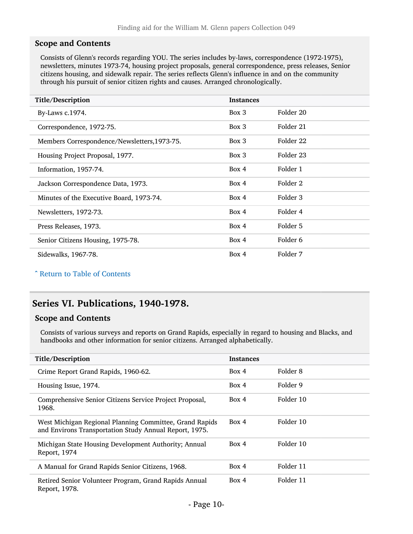#### Scope and Contents

Consists of Glenn's records regarding YOU. The series includes by-laws, correspondence (1972-1975), newsletters, minutes 1973-74, housing project proposals, general correspondence, press releases, Senior citizens housing, and sidewalk repair. The series reflects Glenn's influence in and on the community through his pursuit of senior citizen rights and causes. Arranged chronologically.

| Title/Description                            | <b>Instances</b> |           |
|----------------------------------------------|------------------|-----------|
| By-Laws c.1974.                              | Box 3            | Folder 20 |
| Correspondence, 1972-75.                     | Box 3            | Folder 21 |
| Members Correspondence/Newsletters, 1973-75. | Box 3            | Folder 22 |
| Housing Project Proposal, 1977.              | Box 3            | Folder 23 |
| Information, 1957-74.                        | Box 4            | Folder 1  |
| Jackson Correspondence Data, 1973.           | Box 4            | Folder 2  |
| Minutes of the Executive Board, 1973-74.     | Box 4            | Folder 3  |
| Newsletters, 1972-73.                        | Box 4            | Folder 4  |
| Press Releases, 1973.                        | Box 4            | Folder 5  |
| Senior Citizens Housing, 1975-78.            | Box 4            | Folder 6  |
| Sidewalks, 1967-78.                          | Box 4            | Folder 7  |

^ [Return to Table of Contents](#page-1-0)

## <span id="page-9-0"></span>Series VI. Publications, 1940-1978.

#### Scope and Contents

Consists of various surveys and reports on Grand Rapids, especially in regard to housing and Blacks, and handbooks and other information for senior citizens. Arranged alphabetically.

| Title/Description                                                                                                 | <b>Instances</b> |           |
|-------------------------------------------------------------------------------------------------------------------|------------------|-----------|
| Crime Report Grand Rapids, 1960-62.                                                                               | Box 4            | Folder 8  |
| Housing Issue, 1974.                                                                                              | Box 4            | Folder 9  |
| Comprehensive Senior Citizens Service Project Proposal,<br>1968.                                                  | Box 4            | Folder 10 |
| West Michigan Regional Planning Committee, Grand Rapids<br>and Environs Transportation Study Annual Report, 1975. | Box 4            | Folder 10 |
| Michigan State Housing Development Authority; Annual<br>Report, 1974                                              | Box 4            | Folder 10 |
| A Manual for Grand Rapids Senior Citizens, 1968.                                                                  | Box 4            | Folder 11 |
| Retired Senior Volunteer Program, Grand Rapids Annual<br>Report, 1978.                                            | Box 4            | Folder 11 |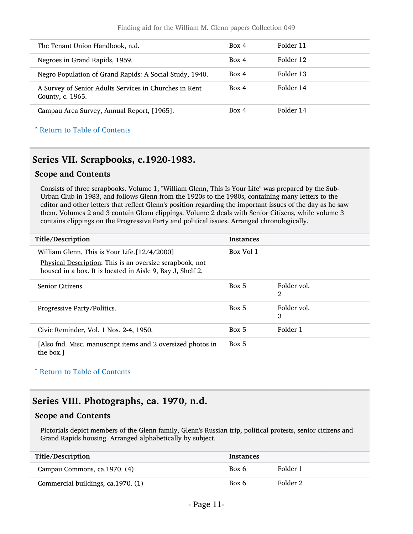#### Finding aid for the William M. Glenn papers Collection 049

| The Tenant Union Handbook, n.d.                                            | Box 4 | Folder 11 |
|----------------------------------------------------------------------------|-------|-----------|
| Negroes in Grand Rapids, 1959.                                             | Box 4 | Folder 12 |
| Negro Population of Grand Rapids: A Social Study, 1940.                    | Box 4 | Folder 13 |
| A Survey of Senior Adults Services in Churches in Kent<br>County, c. 1965. | Box 4 | Folder 14 |
| Campau Area Survey, Annual Report, [1965].                                 | Box 4 | Folder 14 |

#### ^ [Return to Table of Contents](#page-1-0)

### <span id="page-10-0"></span>Series VII. Scrapbooks, c.1920-1983.

#### Scope and Contents

Consists of three scrapbooks. Volume 1, "William Glenn, This Is Your Life" was prepared by the Sub-Urban Club in 1983, and follows Glenn from the 1920s to the 1980s, containing many letters to the editor and other letters that reflect Glenn's position regarding the important issues of the day as he saw them. Volumes 2 and 3 contain Glenn clippings. Volume 2 deals with Senior Citizens, while volume 3 contains clippings on the Progressive Party and political issues. Arranged chronologically.

| Title/Description                                                                                                      | <b>Instances</b> |                  |
|------------------------------------------------------------------------------------------------------------------------|------------------|------------------|
| William Glenn, This is Your Life. [12/4/2000]                                                                          | Box Vol 1        |                  |
| Physical Description: This is an oversize scrapbook, not<br>housed in a box. It is located in Aisle 9, Bay J, Shelf 2. |                  |                  |
| Senior Citizens.                                                                                                       | Box 5            | Folder vol.<br>2 |
| Progressive Party/Politics.                                                                                            | Box 5            | Folder vol.<br>3 |
| Civic Reminder, Vol. 1 Nos. 2-4, 1950.                                                                                 | Box 5            | Folder 1         |
| [Also fnd. Misc. manuscript items and 2 oversized photos in<br>the box.                                                | Box 5            |                  |

^ [Return to Table of Contents](#page-1-0)

### <span id="page-10-1"></span>Series VIII. Photographs, ca. 1970, n.d.

#### Scope and Contents

Pictorials depict members of the Glenn family, Glenn's Russian trip, political protests, senior citizens and Grand Rapids housing. Arranged alphabetically by subject.

| Title/Description                  | <b>Instances</b> |          |
|------------------------------------|------------------|----------|
| Campau Commons, ca.1970. (4)       | Box 6            | Folder 1 |
| Commercial buildings, ca.1970. (1) | Box 6            | Folder 2 |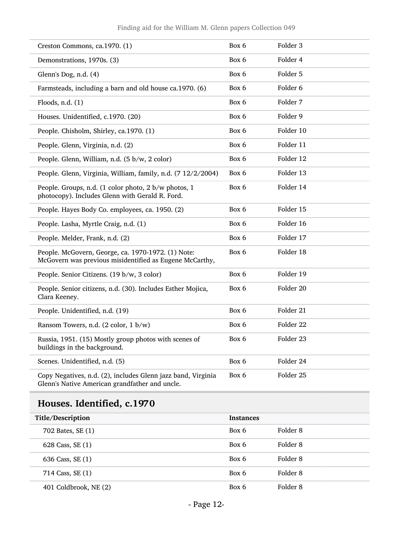| Creston Commons, ca.1970. (1)                                                                                  | Box 6 | Folder 3  |
|----------------------------------------------------------------------------------------------------------------|-------|-----------|
| Demonstrations, 1970s. (3)                                                                                     | Box 6 | Folder 4  |
| Glenn's Dog, n.d. (4)                                                                                          | Box 6 | Folder 5  |
| Farmsteads, including a barn and old house ca.1970. (6)                                                        | Box 6 | Folder 6  |
| Floods, n.d. $(1)$                                                                                             | Box 6 | Folder 7  |
| Houses. Unidentified, c.1970. (20)                                                                             | Box 6 | Folder 9  |
| People. Chisholm, Shirley, ca.1970. (1)                                                                        | Box 6 | Folder 10 |
| People. Glenn, Virginia, n.d. (2)                                                                              | Box 6 | Folder 11 |
| People. Glenn, William, n.d. (5 b/w, 2 color)                                                                  | Box 6 | Folder 12 |
| People. Glenn, Virginia, William, family, n.d. (7 12/2/2004)                                                   | Box 6 | Folder 13 |
| People. Groups, n.d. (1 color photo, 2 b/w photos, 1<br>photocopy). Includes Glenn with Gerald R. Ford.        | Box 6 | Folder 14 |
| People. Hayes Body Co. employees, ca. 1950. (2)                                                                | Box 6 | Folder 15 |
| People. Lasha, Myrtle Craig, n.d. (1)                                                                          | Box 6 | Folder 16 |
| People. Melder, Frank, n.d. (2)                                                                                | Box 6 | Folder 17 |
| People. McGovern, George, ca. 1970-1972. (1) Note:<br>McGovern was previous misidentified as Eugene McCarthy,  | Box 6 | Folder 18 |
| People. Senior Citizens. (19 b/w, 3 color)                                                                     | Box 6 | Folder 19 |
| People. Senior citizens, n.d. (30). Includes Esther Mojica,<br>Clara Keeney.                                   | Box 6 | Folder 20 |
| People. Unidentified, n.d. (19)                                                                                | Box 6 | Folder 21 |
| Ransom Towers, n.d. (2 color, 1 b/w)                                                                           | Box 6 | Folder 22 |
| Russia, 1951. (15) Mostly group photos with scenes of<br>buildings in the background.                          | Box 6 | Folder 23 |
| Scenes. Unidentified, n.d. (5)                                                                                 | Box 6 | Folder 24 |
| Copy Negatives, n.d. (2), includes Glenn jazz band, Virginia<br>Glenn's Native American grandfather and uncle. | Box 6 | Folder 25 |

## <span id="page-11-0"></span>Houses. Identified, c.1970

| Title/Description     | <b>Instances</b> |          |  |
|-----------------------|------------------|----------|--|
| 702 Bates, SE (1)     | Box 6            | Folder 8 |  |
| 628 Cass, SE (1)      | Box 6            | Folder 8 |  |
| 636 Cass, SE (1)      | Box 6            | Folder 8 |  |
| 714 Cass, SE (1)      | Box 6            | Folder 8 |  |
| 401 Coldbrook, NE (2) | Box 6            | Folder 8 |  |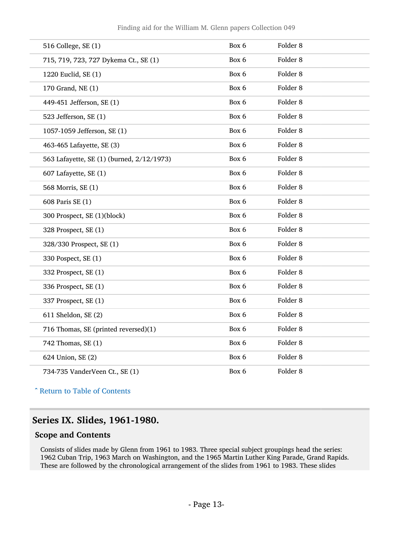| 516 College, SE (1)                       | Box 6 | Folder <sub>8</sub> |
|-------------------------------------------|-------|---------------------|
| 715, 719, 723, 727 Dykema Ct., SE (1)     | Box 6 | Folder <sub>8</sub> |
| 1220 Euclid, SE (1)                       | Box 6 | Folder <sub>8</sub> |
| 170 Grand, NE (1)                         | Box 6 | Folder <sub>8</sub> |
| 449-451 Jefferson, SE (1)                 | Box 6 | Folder <sub>8</sub> |
| 523 Jefferson, SE (1)                     | Box 6 | Folder <sub>8</sub> |
| 1057-1059 Jefferson, SE (1)               | Box 6 | Folder 8            |
| 463-465 Lafayette, SE (3)                 | Box 6 | Folder <sub>8</sub> |
| 563 Lafayette, SE (1) (burned, 2/12/1973) | Box 6 | Folder <sub>8</sub> |
| 607 Lafayette, SE (1)                     | Box 6 | Folder <sub>8</sub> |
| 568 Morris, SE (1)                        | Box 6 | Folder <sub>8</sub> |
| 608 Paris SE (1)                          | Box 6 | Folder <sub>8</sub> |
| 300 Prospect, SE (1)(block)               | Box 6 | Folder <sub>8</sub> |
| 328 Prospect, SE (1)                      | Box 6 | Folder <sub>8</sub> |
| 328/330 Prospect, SE (1)                  | Box 6 | Folder 8            |
| 330 Pospect, SE (1)                       | Box 6 | Folder 8            |
| 332 Prospect, SE (1)                      | Box 6 | Folder <sub>8</sub> |
| 336 Prospect, SE (1)                      | Box 6 | Folder <sub>8</sub> |
| 337 Prospect, SE (1)                      | Box 6 | Folder <sub>8</sub> |
| 611 Sheldon, SE (2)                       | Box 6 | Folder <sub>8</sub> |
| 716 Thomas, SE (printed reversed)(1)      | Box 6 | Folder <sub>8</sub> |
| 742 Thomas, SE (1)                        | Box 6 | Folder <sub>8</sub> |
| 624 Union, SE (2)                         | Box 6 | Folder <sub>8</sub> |
| 734-735 VanderVeen Ct., SE (1)            | Box 6 | Folder <sub>8</sub> |

^ [Return to Table of Contents](#page-1-0)

## <span id="page-12-0"></span>Series IX. Slides, 1961-1980.

### Scope and Contents

Consists of slides made by Glenn from 1961 to 1983. Three special subject groupings head the series: 1962 Cuban Trip, 1963 March on Washington, and the 1965 Martin Luther King Parade, Grand Rapids. These are followed by the chronological arrangement of the slides from 1961 to 1983. These slides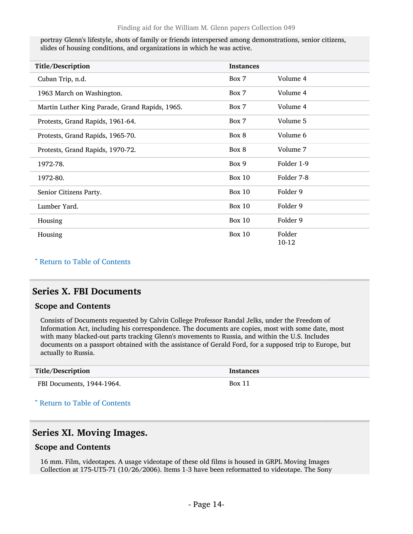portray Glenn's lifestyle, shots of family or friends interspersed among demonstrations, senior citizens, slides of housing conditions, and organizations in which he was active.

| Title/Description                              | <b>Instances</b> |                 |  |
|------------------------------------------------|------------------|-----------------|--|
| Cuban Trip, n.d.                               | Box 7            | Volume 4        |  |
| 1963 March on Washington.                      | Box 7            | Volume 4        |  |
| Martin Luther King Parade, Grand Rapids, 1965. | Box 7            | Volume 4        |  |
| Protests, Grand Rapids, 1961-64.               | Box 7            | Volume 5        |  |
| Protests, Grand Rapids, 1965-70.               | Box 8            | Volume 6        |  |
| Protests, Grand Rapids, 1970-72.               | Box 8            | Volume 7        |  |
| 1972-78.                                       | Box 9            | Folder 1-9      |  |
| 1972-80.                                       | <b>Box 10</b>    | Folder 7-8      |  |
| Senior Citizens Party.                         | <b>Box 10</b>    | Folder 9        |  |
| Lumber Yard.                                   | <b>Box 10</b>    | Folder 9        |  |
| Housing                                        | <b>Box 10</b>    | Folder 9        |  |
| Housing                                        | <b>Box 10</b>    | Folder<br>10-12 |  |

#### ^ [Return to Table of Contents](#page-1-0)

### <span id="page-13-0"></span>Series X. FBI Documents

#### Scope and Contents

Consists of Documents requested by Calvin College Professor Randal Jelks, under the Freedom of Information Act, including his correspondence. The documents are copies, most with some date, most with many blacked-out parts tracking Glenn's movements to Russia, and within the U.S. Includes documents on a passport obtained with the assistance of Gerald Ford, for a supposed trip to Europe, but actually to Russia.

| Title/Description | <b>Instances</b> |
|-------------------|------------------|

FBI Documents, 1944-1964. Box 11

### ^ [Return to Table of Contents](#page-1-0)

### <span id="page-13-1"></span>Series XI. Moving Images.

#### Scope and Contents

16 mm. Film, videotapes. A usage videotape of these old films is housed in GRPL Moving Images Collection at 175-UT5-71 (10/26/2006). Items 1-3 have been reformatted to videotape. The Sony